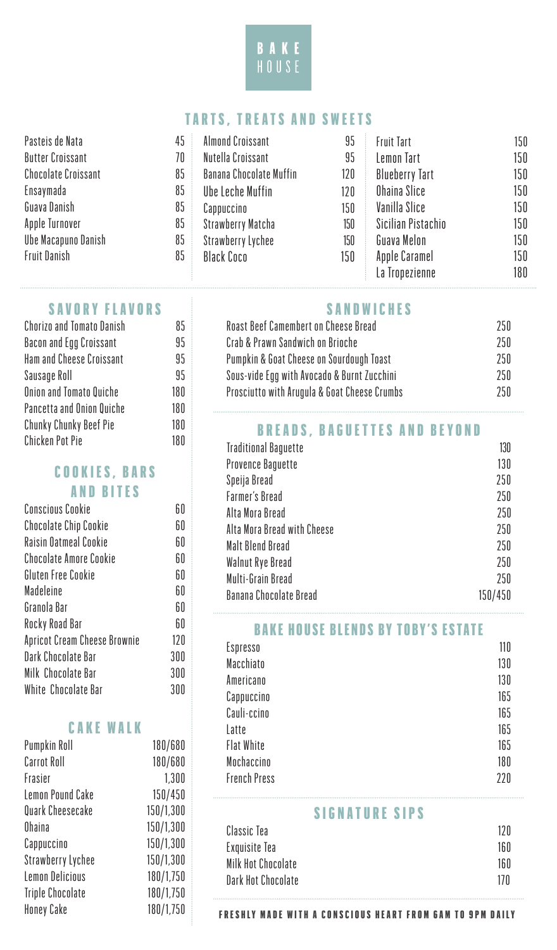

### TARTS, TREATS AND SWEETS

| Pasteis de Nata            | 45 | <b>Almond Croissant</b>        | 95  | <b>Fruit Tart</b>     | 150 |
|----------------------------|----|--------------------------------|-----|-----------------------|-----|
| <b>Butter Croissant</b>    | 70 | Nutella Croissant              | 95  | Lemon Tart            | 150 |
| <b>Chocolate Croissant</b> | 85 | <b>Banana Chocolate Muffin</b> | 120 | <b>Blueberry Tart</b> | 150 |
| Ensaymada                  | 85 | Ube Leche Muffin               | 120 | Ohaina Slice          | 150 |
| Guava Danish               | 85 | Cappuccino                     | 150 | Vanilla Slice         | 150 |
| Apple Turnover             | 85 | <b>Strawberry Matcha</b>       | 150 | Sicilian Pistachio    | 150 |
| Ube Macapuno Danish        | 85 | Strawberry Lychee              | 150 | Guava Melon           | 150 |
| <b>Fruit Danish</b>        | 85 | <b>Black Coco</b>              | 150 | Apple Caramel         | 150 |
|                            |    |                                |     | La Tropezienne        | 180 |

#### SAVORY FLAVORS

| <b>Chorizo and Tomato Danish</b> | 85  |
|----------------------------------|-----|
| Bacon and Egg Croissant          | 95  |
| <b>Ham and Cheese Croissant</b>  | 95  |
| Sausage Roll                     | 95  |
| <b>Onion and Tomato Quiche</b>   | 180 |
| Pancetta and Onion Quiche        | 180 |
| Chunky Chunky Beef Pie           | 180 |
| <b>Chicken Pot Pie</b>           | 180 |
|                                  |     |

# COOKIES, BARS

# AND BITES

| <b>Conscious Cookie</b>             | 60  |
|-------------------------------------|-----|
| <b>Chocolate Chip Cookie</b>        | 60  |
| Raisin Oatmeal Cookie               | 60  |
| <b>Chocolate Amore Cookie</b>       | 60  |
| Gluten Free Cookie                  | 60  |
| Madeleine                           | 60  |
| Granola Bar                         | 60  |
| Rocky Road Bar                      | 60  |
| <b>Apricot Cream Cheese Brownie</b> | 120 |
| Dark Chocolate Bar                  | 300 |
| Milk Chocolate Bar                  | 300 |
| White Chocolate Bar                 | 300 |

#### CAKE WALK

| 180/680   |
|-----------|
| 180/680   |
| 1,300     |
| 150/450   |
| 150/1,300 |
| 150/1,300 |
| 150/1,300 |
| 150/1,300 |
| 180/1,750 |
| 180/1,750 |
| 180/1,750 |
|           |

## SANDWICHES

| <b>Roast Beef Camembert on Cheese Bread</b>  | 250 |
|----------------------------------------------|-----|
| Crab & Prawn Sandwich on Brioche             | 250 |
| Pumpkin & Goat Cheese on Sourdough Toast     | 250 |
| Sous-vide Egg with Avocado & Burnt Zucchini  | 250 |
| Prosciutto with Arugula & Goat Cheese Crumbs | 250 |

# BREADS, BAGUETTES AND BEYOND

| <b>Traditional Baguette</b>   | 130     |
|-------------------------------|---------|
| <b>Provence Baguette</b>      | 130     |
| Speija Bread                  | 250     |
| <b>Farmer's Bread</b>         | 250     |
| Alta Mora Bread               | 250     |
| Alta Mora Bread with Cheese   | 250     |
| Malt Blend Bread              | 250     |
| Walnut Rye Bread              | 250     |
| Multi-Grain Bread             | 250     |
| <b>Banana Chocolate Bread</b> | 150/450 |

#### BAKE HOUSE BLENDS BY TOBY'S ESTATE

| Espresso            | 110 |
|---------------------|-----|
| Macchiato           | 130 |
| Americano           | 130 |
| Cappuccino          | 165 |
| Cauli-ccino         | 165 |
| Latte               | 165 |
| <b>Flat White</b>   | 165 |
| Mochaccino          | 180 |
| <b>French Press</b> | 220 |

#### SIGNATURE SIPS

| Classic Tea        | 12 N |
|--------------------|------|
| Exquisite Tea      | 160  |
| Milk Hot Chocolate | 160  |
| Dark Hot Chocolate | 17 N |
|                    |      |